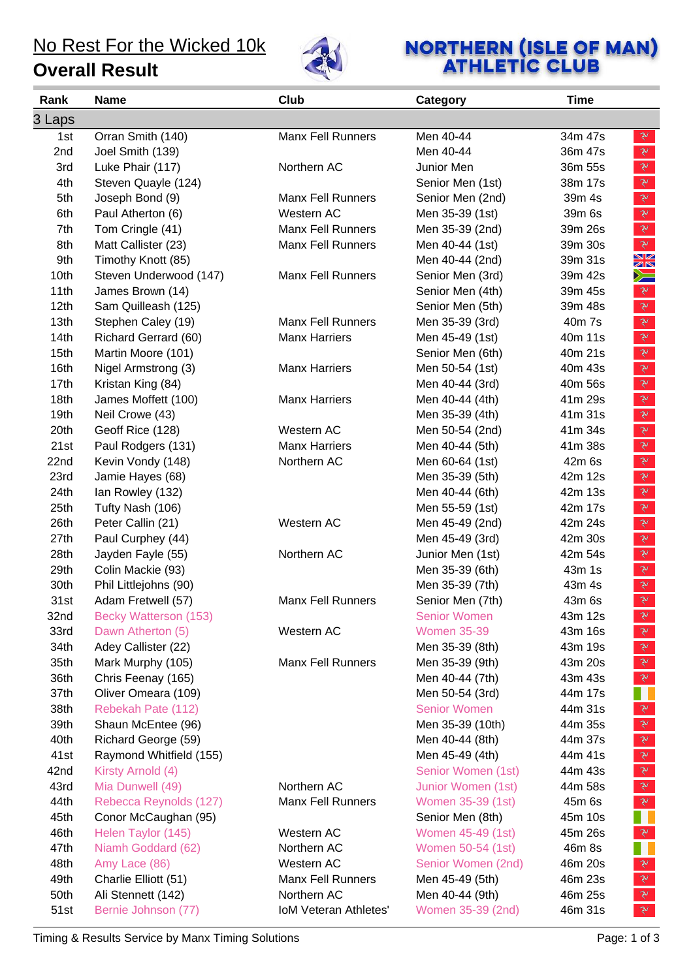### No Rest For the Wicked 10k

#### **Overall Result**



# **NORTHERN (ISLE OF MAN)**<br>ATHLETIC CLUB

| Rank   | <b>Name</b>             | Club                     | Category            | <b>Time</b>                                                                                                                                                                                                                                                                                                                                                                            |
|--------|-------------------------|--------------------------|---------------------|----------------------------------------------------------------------------------------------------------------------------------------------------------------------------------------------------------------------------------------------------------------------------------------------------------------------------------------------------------------------------------------|
| 3 Laps |                         |                          |                     |                                                                                                                                                                                                                                                                                                                                                                                        |
| 1st    | Orran Smith (140)       | <b>Manx Fell Runners</b> | Men 40-44           | 34m 47s<br>$\mathbb{R}$                                                                                                                                                                                                                                                                                                                                                                |
| 2nd    | Joel Smith (139)        |                          | Men 40-44           | $\mathbf{v}$<br>36m 47s                                                                                                                                                                                                                                                                                                                                                                |
| 3rd    | Luke Phair (117)        | Northern AC              | Junior Men          | $\mathbb{R}$<br>36m 55s                                                                                                                                                                                                                                                                                                                                                                |
| 4th    | Steven Quayle (124)     |                          | Senior Men (1st)    | $\mathbf{\tilde{z}}$<br>38m 17s                                                                                                                                                                                                                                                                                                                                                        |
| 5th    | Joseph Bond (9)         | <b>Manx Fell Runners</b> | Senior Men (2nd)    | $\mathcal{V}$<br>39m 4s                                                                                                                                                                                                                                                                                                                                                                |
| 6th    | Paul Atherton (6)       | Western AC               | Men 35-39 (1st)     | $\mathcal{F}$<br>39m 6s                                                                                                                                                                                                                                                                                                                                                                |
| 7th    | Tom Cringle (41)        | <b>Manx Fell Runners</b> | Men 35-39 (2nd)     | $\mathbb{R}^r$<br>39m 26s                                                                                                                                                                                                                                                                                                                                                              |
| 8th    | Matt Callister (23)     | <b>Manx Fell Runners</b> | Men 40-44 (1st)     | $\mathbb{R}$<br>39m 30s                                                                                                                                                                                                                                                                                                                                                                |
| 9th    | Timothy Knott (85)      |                          | Men 40-44 (2nd)     | XX<br>39m 31s                                                                                                                                                                                                                                                                                                                                                                          |
| 10th   | Steven Underwood (147)  | <b>Manx Fell Runners</b> | Senior Men (3rd)    | $\geq$<br>39m 42s                                                                                                                                                                                                                                                                                                                                                                      |
| 11th   | James Brown (14)        |                          | Senior Men (4th)    | $\mathbf{v}$<br>39m 45s                                                                                                                                                                                                                                                                                                                                                                |
| 12th   | Sam Quilleash (125)     |                          | Senior Men (5th)    | $\mathbb{R}$<br>39m 48s                                                                                                                                                                                                                                                                                                                                                                |
| 13th   | Stephen Caley (19)      | <b>Manx Fell Runners</b> | Men 35-39 (3rd)     | $\sum_{i=1}^{n} \frac{1}{i} \sum_{j=1}^{n} \frac{1}{j} \sum_{j=1}^{n} \frac{1}{j} \sum_{j=1}^{n} \frac{1}{j} \sum_{j=1}^{n} \frac{1}{j} \sum_{j=1}^{n} \frac{1}{j} \sum_{j=1}^{n} \frac{1}{j} \sum_{j=1}^{n} \frac{1}{j} \sum_{j=1}^{n} \frac{1}{j} \sum_{j=1}^{n} \frac{1}{j} \sum_{j=1}^{n} \frac{1}{j} \sum_{j=1}^{n} \frac{1}{j} \sum_{j=1}^{n} \frac{1}{j$<br>40m 7s              |
| 14th   | Richard Gerrard (60)    | <b>Manx Harriers</b>     | Men 45-49 (1st)     | $\mathcal{V}^-$<br>40m 11s                                                                                                                                                                                                                                                                                                                                                             |
| 15th   | Martin Moore (101)      |                          | Senior Men (6th)    | $\mathbb{R}$<br>40m 21s                                                                                                                                                                                                                                                                                                                                                                |
| 16th   | Nigel Armstrong (3)     | <b>Manx Harriers</b>     | Men 50-54 (1st)     | $\mathcal{F}$<br>40m 43s                                                                                                                                                                                                                                                                                                                                                               |
| 17th   | Kristan King (84)       |                          | Men 40-44 (3rd)     | $\sum_{i=1}^{n} \frac{1}{i} \sum_{j=1}^{n} \frac{1}{j} \sum_{j=1}^{n} \frac{1}{j} \sum_{j=1}^{n} \frac{1}{j} \sum_{j=1}^{n} \frac{1}{j} \sum_{j=1}^{n} \frac{1}{j} \sum_{j=1}^{n} \frac{1}{j} \sum_{j=1}^{n} \frac{1}{j} \sum_{j=1}^{n} \frac{1}{j} \sum_{j=1}^{n} \frac{1}{j} \sum_{j=1}^{n} \frac{1}{j} \sum_{j=1}^{n} \frac{1}{j} \sum_{j=1}^{n} \frac{1}{j$<br>40m 56s             |
| 18th   | James Moffett (100)     | <b>Manx Harriers</b>     | Men 40-44 (4th)     | $\sum_{i=1}^{n} \frac{1}{i} \sum_{j=1}^{n} \frac{1}{j} \sum_{j=1}^{n} \frac{1}{j} \sum_{j=1}^{n} \frac{1}{j} \sum_{j=1}^{n} \frac{1}{j} \sum_{j=1}^{n} \frac{1}{j} \sum_{j=1}^{n} \frac{1}{j} \sum_{j=1}^{n} \frac{1}{j} \sum_{j=1}^{n} \frac{1}{j} \sum_{j=1}^{n} \frac{1}{j} \sum_{j=1}^{n} \frac{1}{j} \sum_{j=1}^{n} \frac{1}{j} \sum_{j=1}^{n} \frac{1}{j$<br>41m 29s             |
| 19th   | Neil Crowe (43)         |                          | Men 35-39 (4th)     | $\mathbf{v}$<br>41m 31s                                                                                                                                                                                                                                                                                                                                                                |
| 20th   | Geoff Rice (128)        | Western AC               | Men 50-54 (2nd)     | $\mathbf{v}$<br>41m 34s                                                                                                                                                                                                                                                                                                                                                                |
| 21st   | Paul Rodgers (131)      | <b>Manx Harriers</b>     | Men 40-44 (5th)     | $\mathbb{R}$<br>41m 38s                                                                                                                                                                                                                                                                                                                                                                |
| 22nd   | Kevin Vondy (148)       | Northern AC              | Men 60-64 (1st)     | $\mathbf{\tilde{z}}$<br>42m 6s                                                                                                                                                                                                                                                                                                                                                         |
| 23rd   | Jamie Hayes (68)        |                          | Men 35-39 (5th)     | $\mathcal{F}$<br>42m 12s                                                                                                                                                                                                                                                                                                                                                               |
| 24th   | Ian Rowley (132)        |                          | Men 40-44 (6th)     | $\mathcal{F}$<br>42m 13s                                                                                                                                                                                                                                                                                                                                                               |
| 25th   | Tufty Nash (106)        |                          | Men 55-59 (1st)     | $\mathbf{v}$<br>42m 17s                                                                                                                                                                                                                                                                                                                                                                |
| 26th   | Peter Callin (21)       | Western AC               | Men 45-49 (2nd)     | $\mathbf{P}$<br>42m 24s                                                                                                                                                                                                                                                                                                                                                                |
| 27th   | Paul Curphey (44)       |                          | Men 45-49 (3rd)     | $\begin{picture}(220,20) \put(0,0){\vector(0,1){30}} \put(15,0){\vector(0,1){30}} \put(15,0){\vector(0,1){30}} \put(15,0){\vector(0,1){30}} \put(15,0){\vector(0,1){30}} \put(15,0){\vector(0,1){30}} \put(15,0){\vector(0,1){30}} \put(15,0){\vector(0,1){30}} \put(15,0){\vector(0,1){30}} \put(15,0){\vector(0,1){30}} \put(15,0){\vector(0,1){30}} \put(15,0){\vector($<br>42m 30s |
| 28th   | Jayden Fayle (55)       | Northern AC              | Junior Men (1st)    | $\mathbf{v}$<br>42m 54s                                                                                                                                                                                                                                                                                                                                                                |
| 29th   | Colin Mackie (93)       |                          | Men 35-39 (6th)     | $\mathbf{v}$<br>43m 1s                                                                                                                                                                                                                                                                                                                                                                 |
| 30th   | Phil Littlejohns (90)   |                          | Men 35-39 (7th)     | $\mathcal{F}$<br>43m 4s                                                                                                                                                                                                                                                                                                                                                                |
| 31st   | Adam Fretwell (57)      | <b>Manx Fell Runners</b> | Senior Men (7th)    | $\mathcal{V}$<br>43m 6s                                                                                                                                                                                                                                                                                                                                                                |
| 32nd   | Becky Watterson (153)   |                          | <b>Senior Women</b> | $\mathbf{v}$<br>43m 12s                                                                                                                                                                                                                                                                                                                                                                |
| 33rd   | Dawn Atherton (5)       | Western AC               | <b>Women 35-39</b>  | $\mathbf{v}$<br>43m 16s                                                                                                                                                                                                                                                                                                                                                                |
| 34th   | Adey Callister (22)     |                          | Men 35-39 (8th)     | $\mathbf{X}$<br>43m 19s                                                                                                                                                                                                                                                                                                                                                                |
| 35th   | Mark Murphy (105)       | <b>Manx Fell Runners</b> | Men 35-39 (9th)     | $\mathbb{Y}$<br>43m 20s                                                                                                                                                                                                                                                                                                                                                                |
| 36th   | Chris Feenay (165)      |                          | Men 40-44 (7th)     | $\sum_{i=1}^{n} \sum_{j=1}^{n} \frac{1}{j} \sum_{j=1}^{n} \frac{1}{j} \sum_{j=1}^{n} \frac{1}{j} \sum_{j=1}^{n} \frac{1}{j} \sum_{j=1}^{n} \frac{1}{j} \sum_{j=1}^{n} \frac{1}{j} \sum_{j=1}^{n} \frac{1}{j} \sum_{j=1}^{n} \frac{1}{j} \sum_{j=1}^{n} \frac{1}{j} \sum_{j=1}^{n} \frac{1}{j} \sum_{j=1}^{n} \frac{1}{j} \sum_{j=1}^{n} \frac{1}{j} \sum_{j=1$<br>43m 43s              |
| 37th   | Oliver Omeara (109)     |                          | Men 50-54 (3rd)     | ш<br>44m 17s                                                                                                                                                                                                                                                                                                                                                                           |
| 38th   | Rebekah Pate (112)      |                          | <b>Senior Women</b> | $\mathbf{P}_{\mathbf{r}}^{\mathbf{r}}$<br>44m 31s                                                                                                                                                                                                                                                                                                                                      |
| 39th   | Shaun McEntee (96)      |                          | Men 35-39 (10th)    | $\mathbf{v}$<br>44m 35s                                                                                                                                                                                                                                                                                                                                                                |
| 40th   | Richard George (59)     |                          | Men 40-44 (8th)     | $\mathcal{V}$<br>44m 37s                                                                                                                                                                                                                                                                                                                                                               |
| 41st   | Raymond Whitfield (155) |                          | Men 45-49 (4th)     | $\mathcal{V}$<br>44m 41s                                                                                                                                                                                                                                                                                                                                                               |
| 42nd   | Kirsty Arnold (4)       |                          | Senior Women (1st)  | $\sum_{i=1}^{n} \sum_{j=1}^{n} \alpha_{ij} \left( \sum_{i=1}^{n} \sum_{j=1}^{n} \alpha_{ij} \right) \left( \sum_{i=1}^{n} \sum_{j=1}^{n} \alpha_{ij} \right)$<br>44m 43s                                                                                                                                                                                                               |
| 43rd   | Mia Dunwell (49)        | Northern AC              | Junior Women (1st)  | $\sum_{i=1}^{n} \sum_{j=1}^{n} \alpha_{ij} \left( \sum_{i=1}^{n} \sum_{j=1}^{n} \alpha_{ij} \right) \left( \sum_{i=1}^{n} \sum_{j=1}^{n} \alpha_{ij} \right)$<br>44m 58s                                                                                                                                                                                                               |
| 44th   | Rebecca Reynolds (127)  | <b>Manx Fell Runners</b> | Women 35-39 (1st)   | $\sum_{i=1}^{n} \sum_{j=1}^{n} \frac{1}{j} \sum_{j=1}^{n} \frac{1}{j} \sum_{j=1}^{n} \frac{1}{j} \sum_{j=1}^{n} \frac{1}{j} \sum_{j=1}^{n} \frac{1}{j} \sum_{j=1}^{n} \frac{1}{j} \sum_{j=1}^{n} \frac{1}{j} \sum_{j=1}^{n} \frac{1}{j} \sum_{j=1}^{n} \frac{1}{j} \sum_{j=1}^{n} \frac{1}{j} \sum_{j=1}^{n} \frac{1}{j} \sum_{j=1}^{n} \frac{1}{j} \sum_{j=1$<br>45m 6s               |
| 45th   | Conor McCaughan (95)    |                          | Senior Men (8th)    | a p<br>45m 10s                                                                                                                                                                                                                                                                                                                                                                         |
| 46th   | Helen Taylor (145)      | Western AC               | Women 45-49 (1st)   | $\begin{picture}(220,20) \put(0,0){\vector(0,1){30}} \put(15,0){\vector(0,1){30}} \put(15,0){\vector(0,1){30}} \put(15,0){\vector(0,1){30}} \put(15,0){\vector(0,1){30}} \put(15,0){\vector(0,1){30}} \put(15,0){\vector(0,1){30}} \put(15,0){\vector(0,1){30}} \put(15,0){\vector(0,1){30}} \put(15,0){\vector(0,1){30}} \put(15,0){\vector(0,1){30}} \put(15,0){\vector($<br>45m 26s |
| 47th   | Niamh Goddard (62)      | Northern AC              | Women 50-54 (1st)   | H<br>46m 8s                                                                                                                                                                                                                                                                                                                                                                            |
| 48th   | Amy Lace (86)           | Western AC               | Senior Women (2nd)  | $\mathbf{v}$<br>46m 20s                                                                                                                                                                                                                                                                                                                                                                |
| 49th   | Charlie Elliott (51)    | <b>Manx Fell Runners</b> | Men 45-49 (5th)     | $\begin{picture}(220,20) \put(0,0){\vector(0,1){30}} \put(15,0){\vector(0,1){30}} \put(15,0){\vector(0,1){30}} \put(15,0){\vector(0,1){30}} \put(15,0){\vector(0,1){30}} \put(15,0){\vector(0,1){30}} \put(15,0){\vector(0,1){30}} \put(15,0){\vector(0,1){30}} \put(15,0){\vector(0,1){30}} \put(15,0){\vector(0,1){30}} \put(15,0){\vector(0,1){30}} \put(15,0){\vector($<br>46m 23s |
| 50th   | Ali Stennett (142)      | Northern AC              | Men 40-44 (9th)     | $\begin{picture}(220,20) \put(0,0){\vector(0,1){30}} \put(15,0){\vector(0,1){30}} \put(15,0){\vector(0,1){30}} \put(15,0){\vector(0,1){30}} \put(15,0){\vector(0,1){30}} \put(15,0){\vector(0,1){30}} \put(15,0){\vector(0,1){30}} \put(15,0){\vector(0,1){30}} \put(15,0){\vector(0,1){30}} \put(15,0){\vector(0,1){30}} \put(15,0){\vector(0,1){30}} \put(15,0){\vector($<br>46m 25s |
| 51st   | Bernie Johnson (77)     | IoM Veteran Athletes'    | Women 35-39 (2nd)   | 46m 31s<br>$\mathcal{F}$                                                                                                                                                                                                                                                                                                                                                               |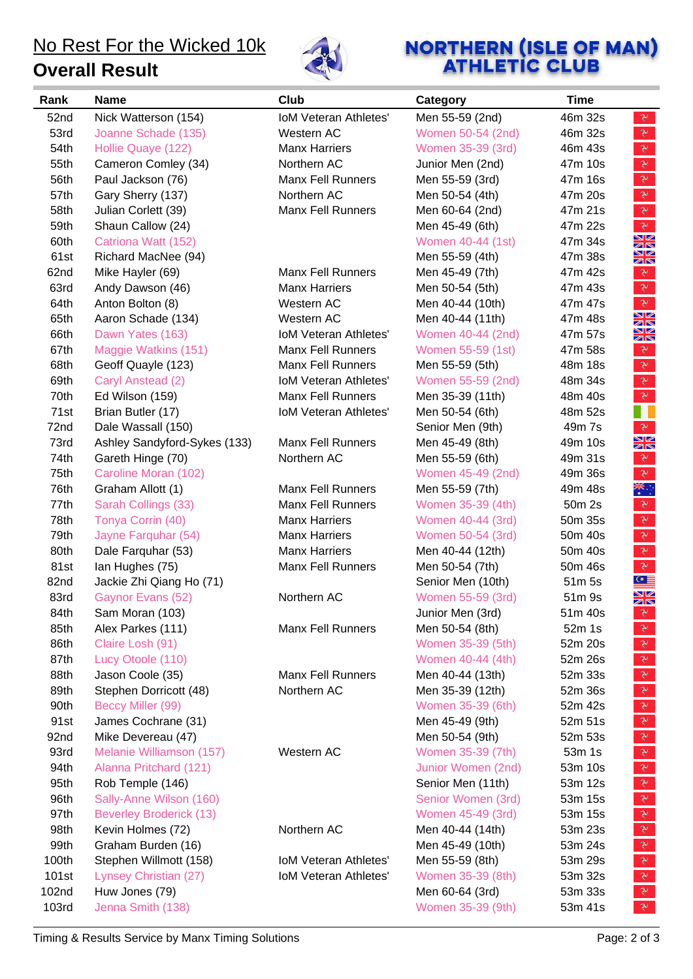**Overall Result**



# **NORTHERN (ISLE OF MAN)**<br>**ATHLETIC CLUB**

| Rank  | <b>Name</b>                    | Club                         | Category           | <b>Time</b>                                                                                                                                                                                                                                                                                                                                                                            |
|-------|--------------------------------|------------------------------|--------------------|----------------------------------------------------------------------------------------------------------------------------------------------------------------------------------------------------------------------------------------------------------------------------------------------------------------------------------------------------------------------------------------|
| 52nd  | Nick Watterson (154)           | <b>IoM Veteran Athletes'</b> | Men 55-59 (2nd)    | 46m 32s<br>$\mathcal{F}$                                                                                                                                                                                                                                                                                                                                                               |
| 53rd  | Joanne Schade (135)            | Western AC                   | Women 50-54 (2nd)  | $\mathbf{v}$<br>46m 32s                                                                                                                                                                                                                                                                                                                                                                |
| 54th  | Hollie Quaye (122)             | <b>Manx Harriers</b>         | Women 35-39 (3rd)  | $\mathbf{\hat{z}}$<br>46m 43s                                                                                                                                                                                                                                                                                                                                                          |
| 55th  | Cameron Comley (34)            | Northern AC                  | Junior Men (2nd)   | $\sum_{i=1}^{n} \sum_{j=1}^{n} \alpha_{ij} \left( \sum_{j=1}^{n} \alpha_{ij} \right) \left( \sum_{j=1}^{n} \alpha_{ij} \right)$<br>47m 10s                                                                                                                                                                                                                                             |
| 56th  | Paul Jackson (76)              | <b>Manx Fell Runners</b>     | Men 55-59 (3rd)    | $\mathcal{V}$<br>47m 16s                                                                                                                                                                                                                                                                                                                                                               |
| 57th  | Gary Sherry (137)              | Northern AC                  | Men 50-54 (4th)    | $\mathbf{v}$<br>47m 20s                                                                                                                                                                                                                                                                                                                                                                |
| 58th  | Julian Corlett (39)            | <b>Manx Fell Runners</b>     | Men 60-64 (2nd)    | $\mathcal{F}$<br>47m 21s                                                                                                                                                                                                                                                                                                                                                               |
| 59th  | Shaun Callow (24)              |                              | Men 45-49 (6th)    | $\mathcal{V}$<br>47m 22s                                                                                                                                                                                                                                                                                                                                                               |
| 60th  | Catriona Watt (152)            |                              | Women 40-44 (1st)  | XK<br>47m 34s                                                                                                                                                                                                                                                                                                                                                                          |
| 61st  | Richard MacNee (94)            |                              | Men 55-59 (4th)    | XK<br>47m 38s                                                                                                                                                                                                                                                                                                                                                                          |
| 62nd  | Mike Hayler (69)               | <b>Manx Fell Runners</b>     | Men 45-49 (7th)    | 47m 42s<br>$\mathcal{F}$                                                                                                                                                                                                                                                                                                                                                               |
| 63rd  | Andy Dawson (46)               | <b>Manx Harriers</b>         | Men 50-54 (5th)    | $\mathbb{R}$<br>47m 43s                                                                                                                                                                                                                                                                                                                                                                |
| 64th  | Anton Bolton (8)               | Western AC                   | Men 40-44 (10th)   | $\mathbb{R}$<br>47m 47s                                                                                                                                                                                                                                                                                                                                                                |
| 65th  | Aaron Schade (134)             | Western AC                   | Men 40-44 (11th)   | XK<br>47m 48s                                                                                                                                                                                                                                                                                                                                                                          |
| 66th  | Dawn Yates (163)               | <b>IoM Veteran Athletes'</b> | Women 40-44 (2nd)  | XK<br>47m 57s                                                                                                                                                                                                                                                                                                                                                                          |
| 67th  | Maggie Watkins (151)           | <b>Manx Fell Runners</b>     | Women 55-59 (1st)  | $\mathbf{v}$<br>47m 58s                                                                                                                                                                                                                                                                                                                                                                |
| 68th  | Geoff Quayle (123)             | <b>Manx Fell Runners</b>     | Men 55-59 (5th)    | $\mathbf{\hat{y}}$<br>48m 18s                                                                                                                                                                                                                                                                                                                                                          |
| 69th  | Caryl Anstead (2)              | <b>IoM Veteran Athletes'</b> | Women 55-59 (2nd)  | $\sum_{i=1}^{n} \frac{1}{i} \sum_{j=1}^{n} \frac{1}{j} \sum_{j=1}^{n} \frac{1}{j} \sum_{j=1}^{n} \frac{1}{j} \sum_{j=1}^{n} \frac{1}{j} \sum_{j=1}^{n} \frac{1}{j} \sum_{j=1}^{n} \frac{1}{j} \sum_{j=1}^{n} \frac{1}{j} \sum_{j=1}^{n} \frac{1}{j} \sum_{j=1}^{n} \frac{1}{j} \sum_{j=1}^{n} \frac{1}{j} \sum_{j=1}^{n} \frac{1}{j} \sum_{j=1}^{n} \frac{1}{j$<br>48m 34s             |
| 70th  | Ed Wilson (159)                | <b>Manx Fell Runners</b>     | Men 35-39 (11th)   | $\mathbf{\tilde{z}}$<br>48m 40s                                                                                                                                                                                                                                                                                                                                                        |
| 71st  | Brian Butler (17)              | <b>IoM Veteran Athletes'</b> | Men 50-54 (6th)    | 11<br>48m 52s                                                                                                                                                                                                                                                                                                                                                                          |
| 72nd  | Dale Wassall (150)             |                              | Senior Men (9th)   | $\mathbf{v}$<br>49m 7s                                                                                                                                                                                                                                                                                                                                                                 |
| 73rd  | Ashley Sandyford-Sykes (133)   | <b>Manx Fell Runners</b>     | Men 45-49 (8th)    | NK<br>ZR<br>49m 10s                                                                                                                                                                                                                                                                                                                                                                    |
| 74th  | Gareth Hinge (70)              | Northern AC                  | Men 55-59 (6th)    | $\mathbf{X}$<br>49m 31s                                                                                                                                                                                                                                                                                                                                                                |
| 75th  | Caroline Moran (102)           |                              | Women 45-49 (2nd)  | $\mathbf{\tilde{y}}$<br>49m 36s                                                                                                                                                                                                                                                                                                                                                        |
| 76th  | Graham Allott (1)              | <b>Manx Fell Runners</b>     | Men 55-59 (7th)    | ▓<br>49m 48s                                                                                                                                                                                                                                                                                                                                                                           |
| 77th  | Sarah Collings (33)            | <b>Manx Fell Runners</b>     | Women 35-39 (4th)  | $\mathbf{v}$<br>50m 2s                                                                                                                                                                                                                                                                                                                                                                 |
| 78th  | Tonya Corrin (40)              | <b>Manx Harriers</b>         | Women 40-44 (3rd)  | $\mathbf{\tilde{z}}$<br>50m 35s                                                                                                                                                                                                                                                                                                                                                        |
| 79th  | Jayne Farquhar (54)            | <b>Manx Harriers</b>         | Women 50-54 (3rd)  | $\sum_{i=1}^{n} \sum_{j=1}^{n} \alpha_{ij} \left( \sum_{j=1}^{n} \alpha_{ij} \right) \left( \sum_{j=1}^{n} \alpha_{ij} \right)$<br>50m 40s                                                                                                                                                                                                                                             |
| 80th  | Dale Farquhar (53)             | <b>Manx Harriers</b>         | Men 40-44 (12th)   | $\mathbf{P}$<br>50m 40s                                                                                                                                                                                                                                                                                                                                                                |
| 81st  | Ian Hughes (75)                | Manx Fell Runners            | Men 50-54 (7th)    | $\mathcal{V}$<br>50m 46s                                                                                                                                                                                                                                                                                                                                                               |
| 82nd  | Jackie Zhi Qiang Ho (71)       |                              | Senior Men (10th)  | $\mathbb{C}^*$<br>51m 5s                                                                                                                                                                                                                                                                                                                                                               |
| 83rd  | Gaynor Evans (52)              | Northern AC                  | Women 55-59 (3rd)  | XK<br>51m 9s                                                                                                                                                                                                                                                                                                                                                                           |
| 84th  | Sam Moran (103)                |                              | Junior Men (3rd)   | 51m 40s<br>$\mathbf{v}$                                                                                                                                                                                                                                                                                                                                                                |
| 85th  | Alex Parkes (111)              | <b>Manx Fell Runners</b>     | Men 50-54 (8th)    | 52m 1s<br>$\mathbf{v}$                                                                                                                                                                                                                                                                                                                                                                 |
| 86th  | Claire Losh (91)               |                              | Women 35-39 (5th)  | $\mathbf{v}$<br>52m 20s                                                                                                                                                                                                                                                                                                                                                                |
| 87th  | Lucy Otoole (110)              |                              | Women 40-44 (4th)  | $\mathbb{R}$<br>52m 26s                                                                                                                                                                                                                                                                                                                                                                |
| 88th  | Jason Coole (35)               | <b>Manx Fell Runners</b>     | Men 40-44 (13th)   | $\mathbf{P}$<br>52m 33s                                                                                                                                                                                                                                                                                                                                                                |
| 89th  | Stephen Dorricott (48)         | Northern AC                  | Men 35-39 (12th)   | $\mathbf{v}$<br>52m 36s                                                                                                                                                                                                                                                                                                                                                                |
| 90th  | Beccy Miller (99)              |                              | Women 35-39 (6th)  | $\mathbf{\tilde{z}}$<br>52m 42s                                                                                                                                                                                                                                                                                                                                                        |
| 91st  | James Cochrane (31)            |                              | Men 45-49 (9th)    | $\mathbb{R}$<br>52m 51s                                                                                                                                                                                                                                                                                                                                                                |
| 92nd  | Mike Devereau (47)             |                              | Men 50-54 (9th)    | $\sum_{i=1}^{n} \frac{1}{i} \sum_{j=1}^{n} \frac{1}{j} \sum_{j=1}^{n} \frac{1}{j} \sum_{j=1}^{n} \frac{1}{j} \sum_{j=1}^{n} \frac{1}{j} \sum_{j=1}^{n} \frac{1}{j} \sum_{j=1}^{n} \frac{1}{j} \sum_{j=1}^{n} \frac{1}{j} \sum_{j=1}^{n} \frac{1}{j} \sum_{j=1}^{n} \frac{1}{j} \sum_{j=1}^{n} \frac{1}{j} \sum_{j=1}^{n} \frac{1}{j} \sum_{j=1}^{n} \frac{1}{j$<br>52m 53s             |
| 93rd  | Melanie Williamson (157)       | Western AC                   | Women 35-39 (7th)  | $\mathbf{v}$<br>53m 1s                                                                                                                                                                                                                                                                                                                                                                 |
| 94th  | Alanna Pritchard (121)         |                              | Junior Women (2nd) | $\mathcal{F}$<br>53m 10s                                                                                                                                                                                                                                                                                                                                                               |
| 95th  | Rob Temple (146)               |                              | Senior Men (11th)  | $\mathbf{v}$<br>53m 12s                                                                                                                                                                                                                                                                                                                                                                |
| 96th  | Sally-Anne Wilson (160)        |                              | Senior Women (3rd) | $\mathbb{R}^r$<br>53m 15s                                                                                                                                                                                                                                                                                                                                                              |
| 97th  | <b>Beverley Broderick (13)</b> |                              | Women 45-49 (3rd)  | $\begin{picture}(220,20) \put(0,0){\vector(0,1){30}} \put(15,0){\vector(0,1){30}} \put(15,0){\vector(0,1){30}} \put(15,0){\vector(0,1){30}} \put(15,0){\vector(0,1){30}} \put(15,0){\vector(0,1){30}} \put(15,0){\vector(0,1){30}} \put(15,0){\vector(0,1){30}} \put(15,0){\vector(0,1){30}} \put(15,0){\vector(0,1){30}} \put(15,0){\vector(0,1){30}} \put(15,0){\vector($<br>53m 15s |
| 98th  | Kevin Holmes (72)              | Northern AC                  | Men 40-44 (14th)   | $\mathbf{\hat{z}}$<br>53m 23s                                                                                                                                                                                                                                                                                                                                                          |
| 99th  | Graham Burden (16)             |                              | Men 45-49 (10th)   | $\mathbf{v}$<br>53m 24s                                                                                                                                                                                                                                                                                                                                                                |
| 100th | Stephen Willmott (158)         | <b>IoM Veteran Athletes'</b> | Men 55-59 (8th)    | $\mathbf{\tilde{z}}$<br>53m 29s                                                                                                                                                                                                                                                                                                                                                        |
| 101st | Lynsey Christian (27)          | <b>IoM Veteran Athletes'</b> | Women 35-39 (8th)  | $\begin{picture}(220,20) \put(0,0){\vector(0,1){30}} \put(15,0){\vector(0,1){30}} \put(15,0){\vector(0,1){30}} \put(15,0){\vector(0,1){30}} \put(15,0){\vector(0,1){30}} \put(15,0){\vector(0,1){30}} \put(15,0){\vector(0,1){30}} \put(15,0){\vector(0,1){30}} \put(15,0){\vector(0,1){30}} \put(15,0){\vector(0,1){30}} \put(15,0){\vector(0,1){30}} \put(15,0){\vector($<br>53m 32s |
| 102nd | Huw Jones (79)                 |                              | Men 60-64 (3rd)    | $\mathbf{v}$<br>53m 33s                                                                                                                                                                                                                                                                                                                                                                |
| 103rd | Jenna Smith (138)              |                              | Women 35-39 (9th)  | $\mathcal{V}$<br>53m 41s                                                                                                                                                                                                                                                                                                                                                               |